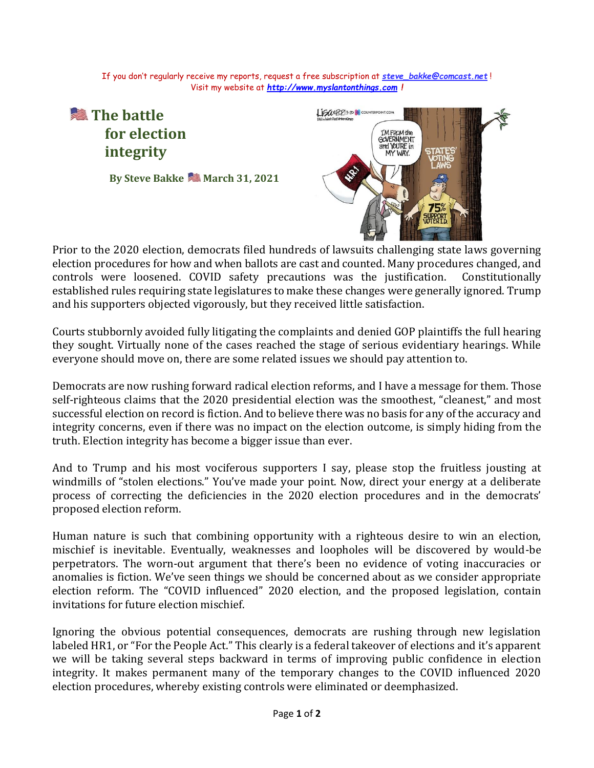If you don't regularly receive my reports, request a free subscription at *[steve\\_bakke@comcast.net](mailto:steve_bakke@comcast.net)* ! Visit my website at *[http://www.myslantonthings.com](http://www.myslantonthings.com/) !*

## **■ The battle** LISACER213-20 COUNTERPOINT.COM **for election T'M FROM the** GOVERNMENT and YOU'RE in **integrity** MY WAY. **By Steve Bakke March 31, 2021**

Prior to the 2020 election, democrats filed hundreds of lawsuits challenging state laws governing election procedures for how and when ballots are cast and counted. Many procedures changed, and controls were loosened. COVID safety precautions was the justification. Constitutionally established rules requiring state legislatures to make these changes were generally ignored. Trump and his supporters objected vigorously, but they received little satisfaction.

Courts stubbornly avoided fully litigating the complaints and denied GOP plaintiffs the full hearing they sought. Virtually none of the cases reached the stage of serious evidentiary hearings. While everyone should move on, there are some related issues we should pay attention to.

Democrats are now rushing forward radical election reforms, and I have a message for them. Those self-righteous claims that the 2020 presidential election was the smoothest, "cleanest," and most successful election on record is fiction. And to believe there was no basis for any of the accuracy and integrity concerns, even if there was no impact on the election outcome, is simply hiding from the truth. Election integrity has become a bigger issue than ever.

And to Trump and his most vociferous supporters I say, please stop the fruitless jousting at windmills of "stolen elections." You've made your point. Now, direct your energy at a deliberate process of correcting the deficiencies in the 2020 election procedures and in the democrats' proposed election reform.

Human nature is such that combining opportunity with a righteous desire to win an election, mischief is inevitable. Eventually, weaknesses and loopholes will be discovered by would-be perpetrators. The worn-out argument that there's been no evidence of voting inaccuracies or anomalies is fiction. We've seen things we should be concerned about as we consider appropriate election reform. The "COVID influenced" 2020 election, and the proposed legislation, contain invitations for future election mischief.

Ignoring the obvious potential consequences, democrats are rushing through new legislation labeled HR1, or "For the People Act." This clearly is a federal takeover of elections and it's apparent we will be taking several steps backward in terms of improving public confidence in election integrity. It makes permanent many of the temporary changes to the COVID influenced 2020 election procedures, whereby existing controls were eliminated or deemphasized.